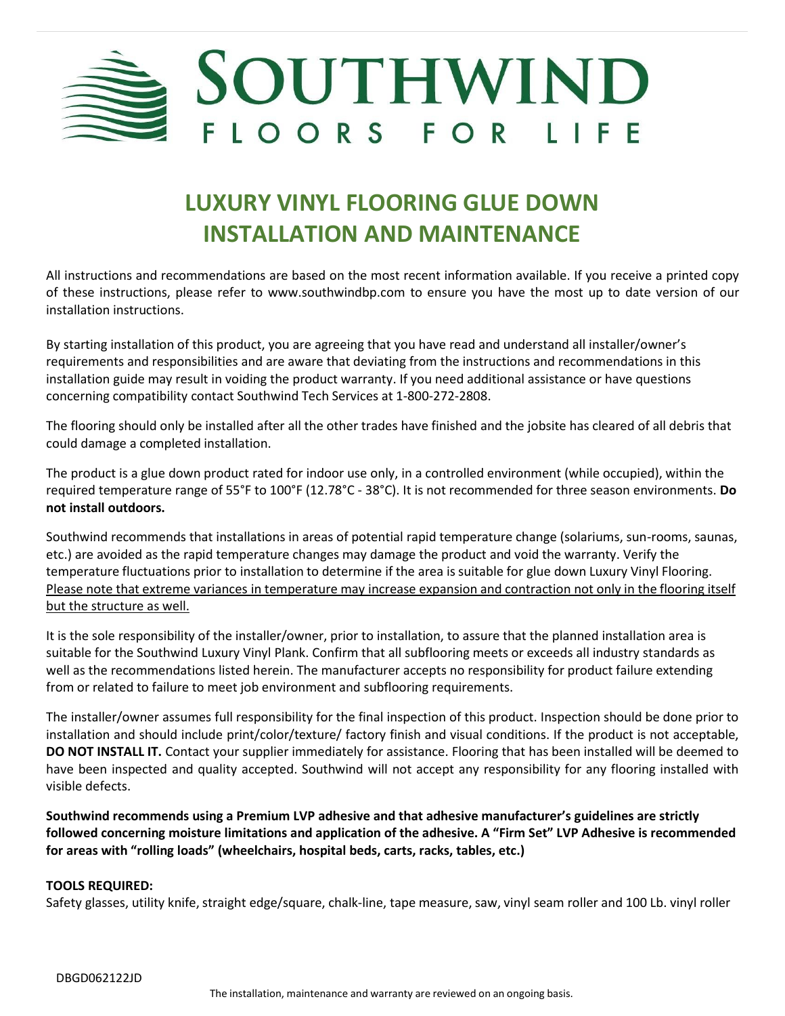

# **LUXURY VINYL FLOORING GLUE DOWN INSTALLATION AND MAINTENANCE**

All instructions and recommendations are based on the most recent information available. If you receive a printed copy of these instructions, please refer to [www.southwindbp.com](http://www.southwindbp.com/) to ensure you have the most up to date version of our installation instructions.

By starting installation of this product, you are agreeing that you have read and understand all installer/owner's requirements and responsibilities and are aware that deviating from the instructions and recommendations in this installation guide may result in voiding the product warranty. If you need additional assistance or have questions concerning compatibility contact Southwind Tech Services at 1-800-272-2808.

The flooring should only be installed after all the other trades have finished and the jobsite has cleared of all debris that could damage a completed installation.

The product is a glue down product rated for indoor use only, in a controlled environment (while occupied), within the required temperature range of 55°F to 100°F (12.78°C - 38°C). It is not recommended for three season environments. **Do not install outdoors.**

Southwind recommends that installations in areas of potential rapid temperature change (solariums, sun-rooms, saunas, etc.) are avoided as the rapid temperature changes may damage the product and void the warranty. Verify the temperature fluctuations prior to installation to determine if the area issuitable for glue down Luxury Vinyl Flooring. Please note that extreme variances in temperature may increase expansion and contraction not only in the flooring itself but the structure as well.

It is the sole responsibility of the installer/owner, prior to installation, to assure that the planned installation area is suitable for the Southwind Luxury Vinyl Plank. Confirm that all subflooring meets or exceeds all industry standards as well as the recommendations listed herein. The manufacturer accepts no responsibility for product failure extending from or related to failure to meet job environment and subflooring requirements.

The installer/owner assumes full responsibility for the final inspection of this product. Inspection should be done prior to installation and should include print/color/texture/ factory finish and visual conditions. If the product is not acceptable, **DO NOT INSTALL IT.** Contact your supplier immediately for assistance. Flooring that has been installed will be deemed to have been inspected and quality accepted. Southwind will not accept any responsibility for any flooring installed with visible defects.

**Southwind recommends using a Premium LVP adhesive and that adhesive manufacturer's guidelines are strictly followed concerning moisture limitations and application of the adhesive. A "Firm Set" LVP Adhesive is recommended for areas with "rolling loads" (wheelchairs, hospital beds, carts, racks, tables, etc.)**

## **TOOLS REQUIRED:**

Safety glasses, utility knife, straight edge/square, chalk-line, tape measure, saw, vinyl seam roller and 100 Lb. vinyl roller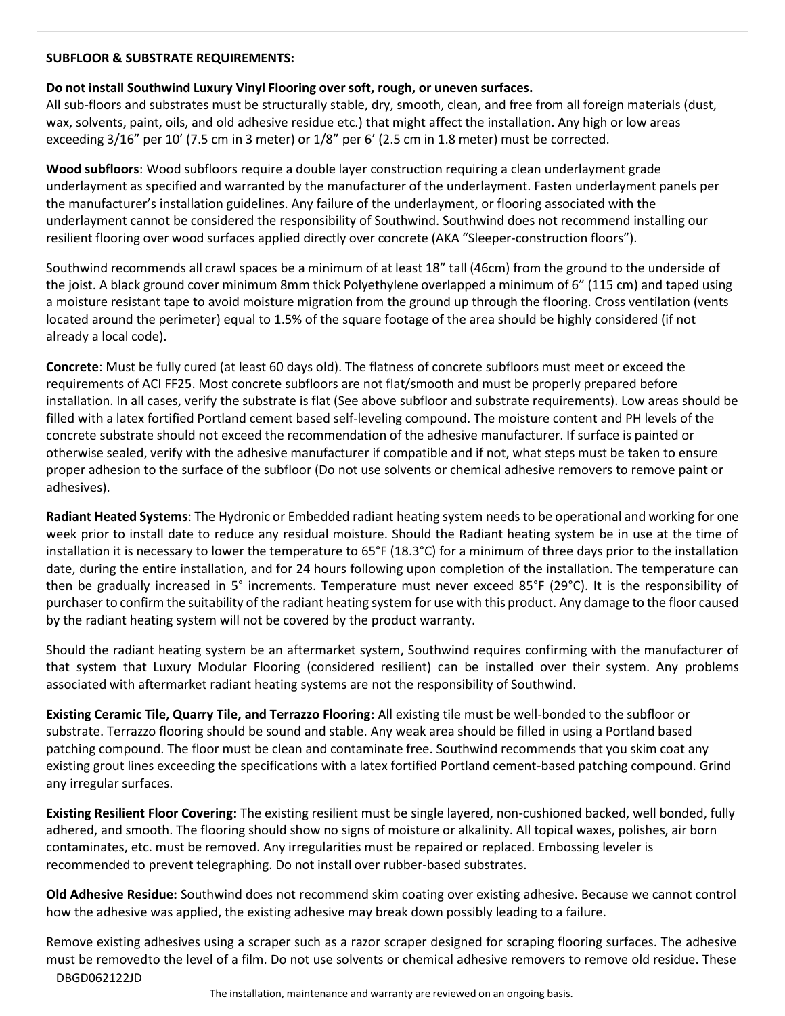#### **SUBFLOOR & SUBSTRATE REQUIREMENTS:**

## **Do not install Southwind Luxury Vinyl Flooring over soft, rough, or uneven surfaces.**

All sub-floors and substrates must be structurally stable, dry, smooth, clean, and free from all foreign materials (dust, wax, solvents, paint, oils, and old adhesive residue etc.) that might affect the installation. Any high or low areas exceeding 3/16" per 10' (7.5 cm in 3 meter) or 1/8" per 6' (2.5 cm in 1.8 meter) must be corrected.

**Wood subfloors**: Wood subfloors require a double layer construction requiring a clean underlayment grade underlayment as specified and warranted by the manufacturer of the underlayment. Fasten underlayment panels per the manufacturer's installation guidelines. Any failure of the underlayment, or flooring associated with the underlayment cannot be considered the responsibility of Southwind. Southwind does not recommend installing our resilient flooring over wood surfaces applied directly over concrete (AKA "Sleeper-construction floors").

Southwind recommends all crawl spaces be a minimum of at least 18" tall (46cm) from the ground to the underside of the joist. A black ground cover minimum 8mm thick Polyethylene overlapped a minimum of 6" (115 cm) and taped using a moisture resistant tape to avoid moisture migration from the ground up through the flooring. Cross ventilation (vents located around the perimeter) equal to 1.5% of the square footage of the area should be highly considered (if not already a local code).

**Concrete**: Must be fully cured (at least 60 days old). The flatness of concrete subfloors must meet or exceed the requirements of ACI FF25. Most concrete subfloors are not flat/smooth and must be properly prepared before installation. In all cases, verify the substrate is flat (See above subfloor and substrate requirements). Low areas should be filled with a latex fortified Portland cement based self-leveling compound. The moisture content and PH levels of the concrete substrate should not exceed the recommendation of the adhesive manufacturer. If surface is painted or otherwise sealed, verify with the adhesive manufacturer if compatible and if not, what steps must be taken to ensure proper adhesion to the surface of the subfloor (Do not use solvents or chemical adhesive removers to remove paint or adhesives).

**Radiant Heated Systems**: The Hydronic or Embedded radiant heating system needs to be operational and working for one week prior to install date to reduce any residual moisture. Should the Radiant heating system be in use at the time of installation it is necessary to lower the temperature to 65°F (18.3°C) for a minimum of three days prior to the installation date, during the entire installation, and for 24 hours following upon completion of the installation. The temperature can then be gradually increased in 5° increments. Temperature must never exceed 85°F (29°C). It is the responsibility of purchaser to confirm the suitability of the radiant heating system for use with this product. Any damage to the floor caused by the radiant heating system will not be covered by the product warranty.

Should the radiant heating system be an aftermarket system, Southwind requires confirming with the manufacturer of that system that Luxury Modular Flooring (considered resilient) can be installed over their system. Any problems associated with aftermarket radiant heating systems are not the responsibility of Southwind.

**Existing Ceramic Tile, Quarry Tile, and Terrazzo Flooring:** All existing tile must be well-bonded to the subfloor or substrate. Terrazzo flooring should be sound and stable. Any weak area should be filled in using a Portland based patching compound. The floor must be clean and contaminate free. Southwind recommends that you skim coat any existing grout lines exceeding the specifications with a latex fortified Portland cement-based patching compound. Grind any irregular surfaces.

**Existing Resilient Floor Covering:** The existing resilient must be single layered, non-cushioned backed, well bonded, fully adhered, and smooth. The flooring should show no signs of moisture or alkalinity. All topical waxes, polishes, air born contaminates, etc. must be removed. Any irregularities must be repaired or replaced. Embossing leveler is recommended to prevent telegraphing. Do not install over rubber-based substrates.

**Old Adhesive Residue:** Southwind does not recommend skim coating over existing adhesive. Because we cannot control how the adhesive was applied, the existing adhesive may break down possibly leading to a failure.

DBGD062122JD Remove existing adhesives using a scraper such as a razor scraper designed for scraping flooring surfaces. The adhesive must be removedto the level of a film. Do not use solvents or chemical adhesive removers to remove old residue. These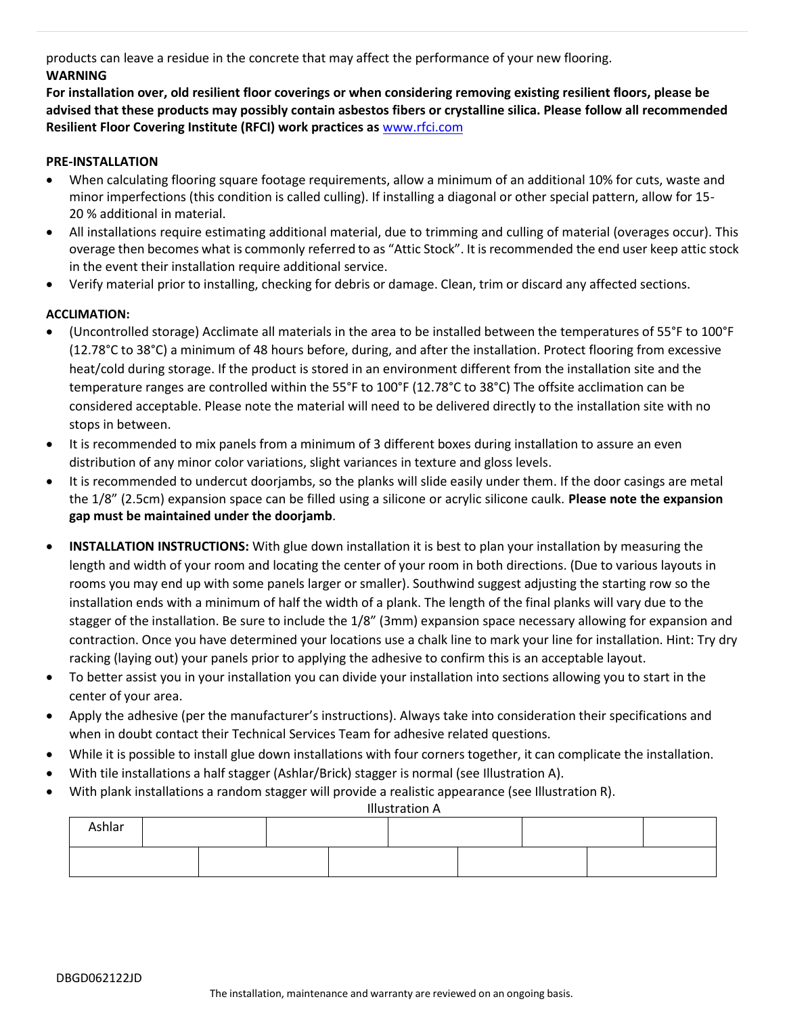products can leave a residue in the concrete that may affect the performance of your new flooring.

# **WARNING**

**For installation over, old resilient floor coverings or when considering removing existing resilient floors, please be advised that these products may possibly contain asbestos fibers or crystalline silica. Please follow all recommended Resilient Floor Covering Institute (RFCI) work practices as** [www.rfci.com](http://www.rfci.com/)

## **PRE-INSTALLATION**

- When calculating flooring square footage requirements, allow a minimum of an additional 10% for cuts, waste and minor imperfections (this condition is called culling). If installing a diagonal or other special pattern, allow for 15- 20 % additional in material.
- All installations require estimating additional material, due to trimming and culling of material (overages occur). This overage then becomes what is commonly referred to as "Attic Stock". It is recommended the end user keep attic stock in the event their installation require additional service.
- Verify material prior to installing, checking for debris or damage. Clean, trim or discard any affected sections.

## **ACCLIMATION:**

- (Uncontrolled storage) Acclimate all materials in the area to be installed between the temperatures of 55°F to 100°F (12.78°C to 38°C) a minimum of 48 hours before, during, and after the installation. Protect flooring from excessive heat/cold during storage. If the product is stored in an environment different from the installation site and the temperature ranges are controlled within the 55°F to 100°F (12.78°C to 38°C) The offsite acclimation can be considered acceptable. Please note the material will need to be delivered directly to the installation site with no stops in between.
- It is recommended to mix panels from a minimum of 3 different boxes during installation to assure an even distribution of any minor color variations, slight variances in texture and gloss levels.
- It is recommended to undercut doorjambs, so the planks will slide easily under them. If the door casings are metal the 1/8" (2.5cm) expansion space can be filled using a silicone or acrylic silicone caulk. **Please note the expansion gap must be maintained under the doorjamb**.
- **INSTALLATION INSTRUCTIONS:** With glue down installation it is best to plan your installation by measuring the length and width of your room and locating the center of your room in both directions. (Due to various layouts in rooms you may end up with some panels larger or smaller). Southwind suggest adjusting the starting row so the installation ends with a minimum of half the width of a plank. The length of the final planks will vary due to the stagger of the installation. Be sure to include the 1/8" (3mm) expansion space necessary allowing for expansion and contraction. Once you have determined your locations use a chalk line to mark your line for installation. Hint: Try dry racking (laying out) your panels prior to applying the adhesive to confirm this is an acceptable layout.
- To better assist you in your installation you can divide your installation into sections allowing you to start in the center of your area.
- Apply the adhesive (per the manufacturer's instructions). Always take into consideration their specifications and when in doubt contact their Technical Services Team for adhesive related questions.
- While it is possible to install glue down installations with four corners together, it can complicate the installation.
- With tile installations a half stagger (Ashlar/Brick) stagger is normal (see Illustration A).
- With plank installations a random stagger will provide a realistic appearance (see Illustration R).

Illustration A

| Ashlar |  |  |  |  |  |  |  |
|--------|--|--|--|--|--|--|--|
|        |  |  |  |  |  |  |  |